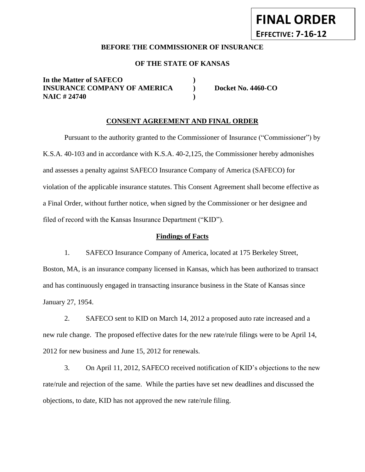### **BEFORE THE COMMISSIONER OF INSURANCE**

### **OF THE STATE OF KANSAS**

**In the Matter of SAFECO ) INSURANCE COMPANY OF AMERICA** Docket No. 4460-CO **NAIC # 24740 )**

**FINAL ORDER**

**EFFECTIVE: 7-16-12**

#### **CONSENT AGREEMENT AND FINAL ORDER**

Pursuant to the authority granted to the Commissioner of Insurance ("Commissioner") by K.S.A. 40-103 and in accordance with K.S.A. 40-2,125, the Commissioner hereby admonishes and assesses a penalty against SAFECO Insurance Company of America (SAFECO) for violation of the applicable insurance statutes. This Consent Agreement shall become effective as a Final Order, without further notice, when signed by the Commissioner or her designee and filed of record with the Kansas Insurance Department ("KID").

#### **Findings of Facts**

1. SAFECO Insurance Company of America, located at 175 Berkeley Street, Boston, MA, is an insurance company licensed in Kansas, which has been authorized to transact and has continuously engaged in transacting insurance business in the State of Kansas since January 27, 1954.

2. SAFECO sent to KID on March 14, 2012 a proposed auto rate increased and a new rule change. The proposed effective dates for the new rate/rule filings were to be April 14, 2012 for new business and June 15, 2012 for renewals.

3. On April 11, 2012, SAFECO received notification of KID's objections to the new rate/rule and rejection of the same. While the parties have set new deadlines and discussed the objections, to date, KID has not approved the new rate/rule filing.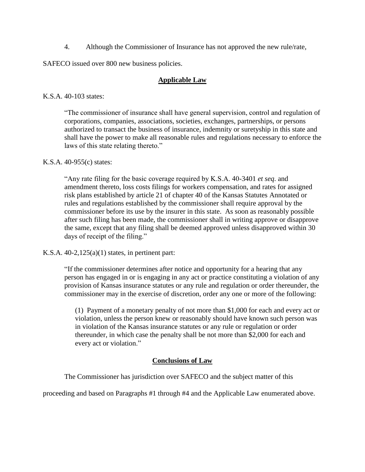4. Although the Commissioner of Insurance has not approved the new rule/rate,

SAFECO issued over 800 new business policies.

### **Applicable Law**

K.S.A. 40-103 states:

"The commissioner of insurance shall have general supervision, control and regulation of corporations, companies, associations, societies, exchanges, partnerships, or persons authorized to transact the business of insurance, indemnity or suretyship in this state and shall have the power to make all reasonable rules and regulations necessary to enforce the laws of this state relating thereto."

### K.S.A. 40-955(c) states:

"Any rate filing for the basic coverage required by K.S.A. 40-3401 *et seq*. and amendment thereto, loss costs filings for workers compensation, and rates for assigned risk plans established by article 21 of chapter 40 of the Kansas Statutes Annotated or rules and regulations established by the commissioner shall require approval by the commissioner before its use by the insurer in this state. As soon as reasonably possible after such filing has been made, the commissioner shall in writing approve or disapprove the same, except that any filing shall be deemed approved unless disapproved within 30 days of receipt of the filing."

K.S.A.  $40-2,125(a)(1)$  states, in pertinent part:

"If the commissioner determines after notice and opportunity for a hearing that any person has engaged in or is engaging in any act or practice constituting a violation of any provision of Kansas insurance statutes or any rule and regulation or order thereunder, the commissioner may in the exercise of discretion, order any one or more of the following:

(1) Payment of a monetary penalty of not more than \$1,000 for each and every act or violation, unless the person knew or reasonably should have known such person was in violation of the Kansas insurance statutes or any rule or regulation or order thereunder, in which case the penalty shall be not more than \$2,000 for each and every act or violation."

## **Conclusions of Law**

The Commissioner has jurisdiction over SAFECO and the subject matter of this

proceeding and based on Paragraphs #1 through #4 and the Applicable Law enumerated above.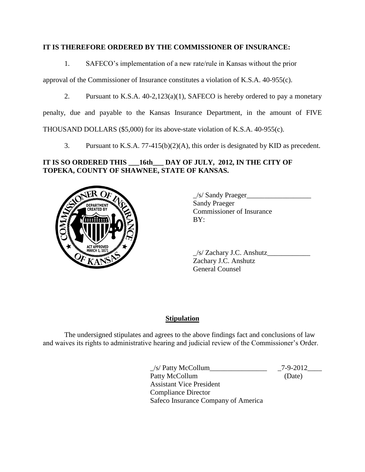## **IT IS THEREFORE ORDERED BY THE COMMISSIONER OF INSURANCE:**

1. SAFECO's implementation of a new rate/rule in Kansas without the prior

approval of the Commissioner of Insurance constitutes a violation of K.S.A. 40-955(c).

2. Pursuant to K.S.A. 40-2,123(a)(1), SAFECO is hereby ordered to pay a monetary

penalty, due and payable to the Kansas Insurance Department, in the amount of FIVE

THOUSAND DOLLARS (\$5,000) for its above-state violation of K.S.A. 40-955(c).

3. Pursuant to K.S.A. 77-415(b)(2)(A), this order is designated by KID as precedent.

# **IT IS SO ORDERED THIS \_\_\_16th\_\_\_ DAY OF JULY, 2012, IN THE CITY OF TOPEKA, COUNTY OF SHAWNEE, STATE OF KANSAS.**



 $\angle$ s/ Sandy Praeger $\angle$ Sandy Praeger Commissioner of Insurance BY:

\_/s/ Zachary J.C. Anshutz\_\_\_\_\_\_\_\_\_\_\_\_ Zachary J.C. Anshutz General Counsel

## **Stipulation**

The undersigned stipulates and agrees to the above findings fact and conclusions of law and waives its rights to administrative hearing and judicial review of the Commissioner's Order.

> \_/s/ Patty McCollum\_\_\_\_\_\_\_\_\_\_\_\_\_\_\_\_ \_7-9-2012\_\_\_\_ Patty McCollum (Date) Assistant Vice President Compliance Director Safeco Insurance Company of America